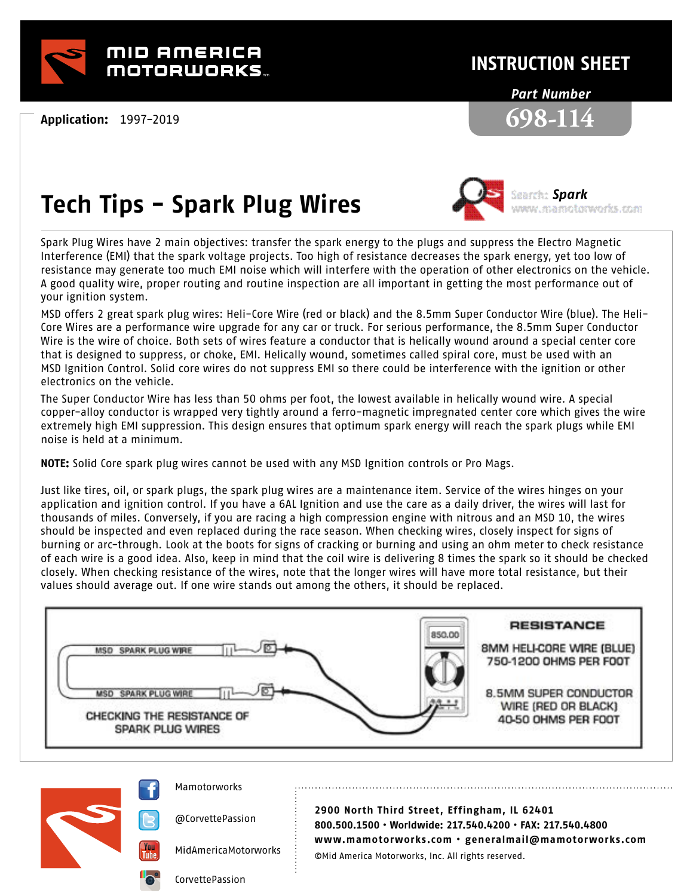

**Application:** 1997-2019

## **INSTRUCTION SHEET**

#### *Part Number*



# **Tech Tips - Spark Plug Wires**



*Spark* nnnn markolornorks com

Spark Plug Wires have 2 main objectives: transfer the spark energy to the plugs and suppress the Electro Magnetic Interference (EMI) that the spark voltage projects. Too high of resistance decreases the spark energy, yet too low of resistance may generate too much EMI noise which will interfere with the operation of other electronics on the vehicle. A good quality wire, proper routing and routine inspection are all important in getting the most performance out of your ignition system.

MSD offers 2 great spark plug wires: Heli-Core Wire (red or black) and the 8.5mm Super Conductor Wire (blue). The Heli-Core Wires are a performance wire upgrade for any car or truck. For serious performance, the 8.5mm Super Conductor Wire is the wire of choice. Both sets of wires feature a conductor that is helically wound around a special center core that is designed to suppress, or choke, EMI. Helically wound, sometimes called spiral core, must be used with an MSD Ignition Control. Solid core wires do not suppress EMI so there could be interference with the ignition or other electronics on the vehicle.

The Super Conductor Wire has less than 50 ohms per foot, the lowest available in helically wound wire. A special copper-alloy conductor is wrapped very tightly around a ferro-magnetic impregnated center core which gives the wire extremely high EMI suppression. This design ensures that optimum spark energy will reach the spark plugs while EMI noise is held at a minimum.

**NOTE:** Solid Core spark plug wires cannot be used with any MSD Ignition controls or Pro Mags.

Just like tires, oil, or spark plugs, the spark plug wires are a maintenance item. Service of the wires hinges on your application and ignition control. If you have a 6AL Ignition and use the care as a daily driver, the wires will last for thousands of miles. Conversely, if you are racing a high compression engine with nitrous and an MSD 10, the wires should be inspected and even replaced during the race season. When checking wires, closely inspect for signs of burning or arc-through. Look at the boots for signs of cracking or burning and using an ohm meter to check resistance of each wire is a good idea. Also, keep in mind that the coil wire is delivering 8 times the spark so it should be checked closely. When checking resistance of the wires, note that the longer wires will have more total resistance, but their values should average out. If one wire stands out among the others, it should be replaced.